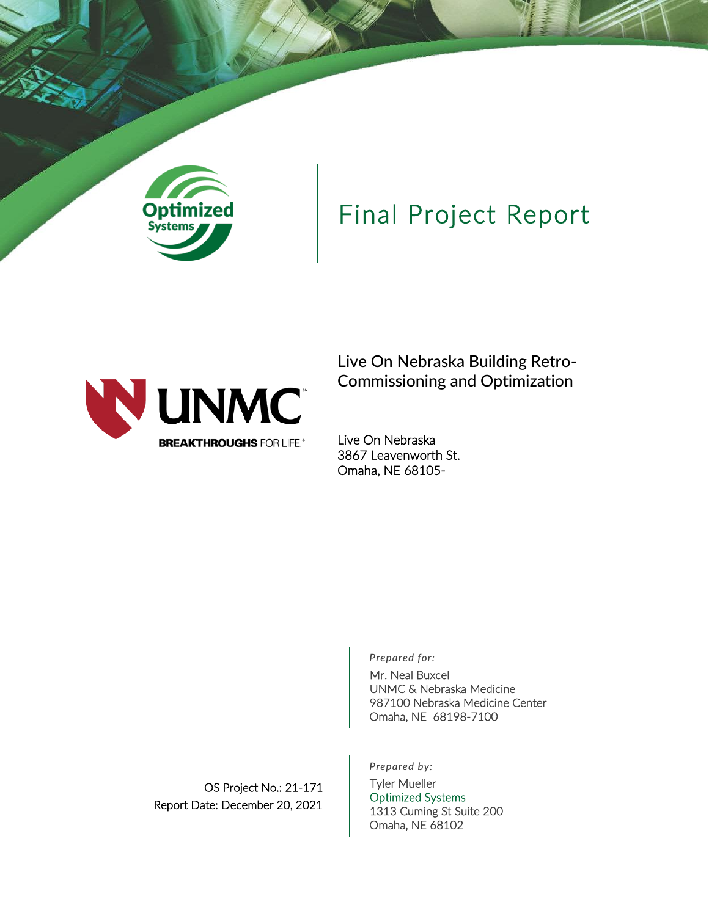

## Final Project Report



Live On Nebraska Building Retro-Commissioning and Optimization

Live On Nebraska 3867 Leavenworth St. Omaha, NE 68105-

*Prepared for:*

Mr. Neal Buxcel UNMC & Nebraska Medicine 987100 Nebraska Medicine Center Omaha, NE 68198-7100

*Prepared by:*

Tyler Mueller Optimized Systems 1313 Cuming St Suite 200 Omaha, NE 68102

OS Project No.: 21-171 Report Date: December 20, 2021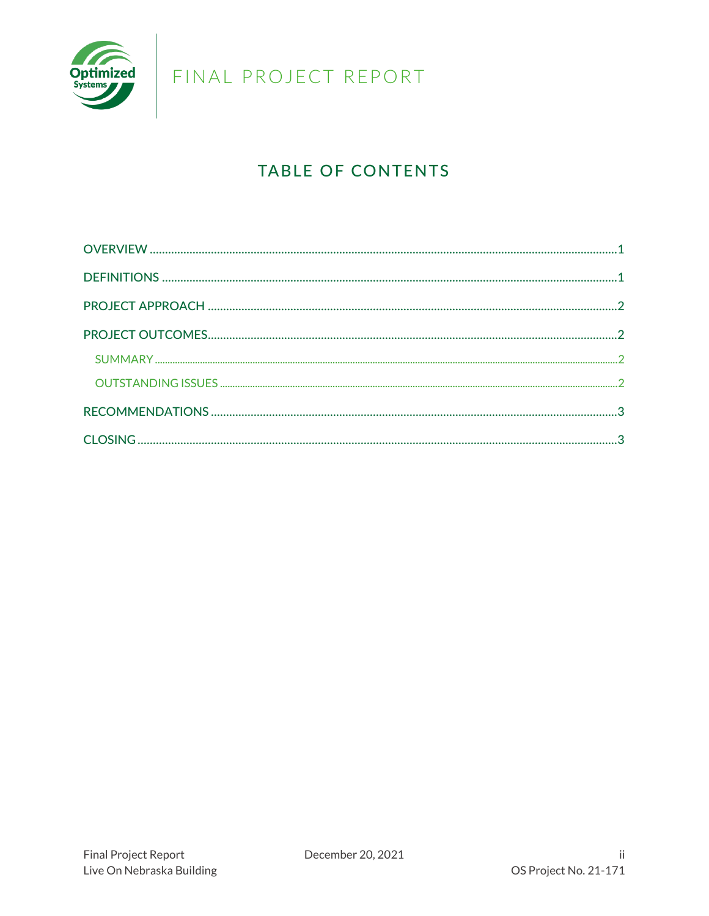

## **TABLE OF CONTENTS**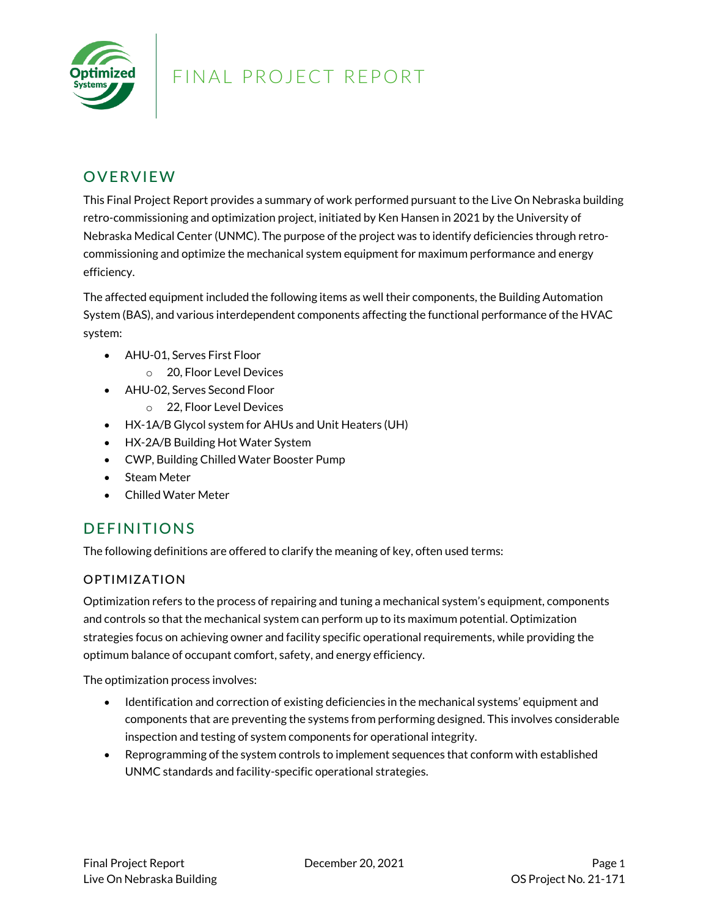

#### <span id="page-2-0"></span>**OVERVIEW**

This Final Project Report provides a summary of work performed pursuant to the Live On Nebraska building retro-commissioning and optimization project, initiated by Ken Hansen in 2021 by the University of Nebraska Medical Center (UNMC). The purpose of the project was to identify deficiencies through retrocommissioning and optimize the mechanical system equipment for maximum performance and energy efficiency.

The affected equipment included the following items as well their components, the Building Automation System (BAS), and various interdependent components affecting the functional performance of the HVAC system:

- AHU-01, Serves First Floor
	- o 20, Floor Level Devices
- AHU-02, Serves Second Floor
	- o 22, Floor Level Devices
- HX-1A/B Glycol system for AHUs and Unit Heaters (UH)
- HX-2A/B Building Hot Water System
- CWP, Building Chilled Water Booster Pump
- Steam Meter
- Chilled Water Meter

#### <span id="page-2-1"></span>DEFINITIONS

The following definitions are offered to clarify the meaning of key, often used terms:

#### OPTIMIZATION

Optimization refers to the process of repairing and tuning a mechanical system's equipment, components and controls so that the mechanical system can perform up to its maximum potential. Optimization strategies focus on achieving owner and facility specific operational requirements, while providing the optimum balance of occupant comfort, safety, and energy efficiency.

The optimization process involves:

- Identification and correction of existing deficiencies in the mechanical systems' equipment and components that are preventing the systems from performing designed. This involves considerable inspection and testing of system components for operational integrity.
- Reprogramming of the system controls to implement sequences that conform with established UNMC standards and facility-specific operational strategies.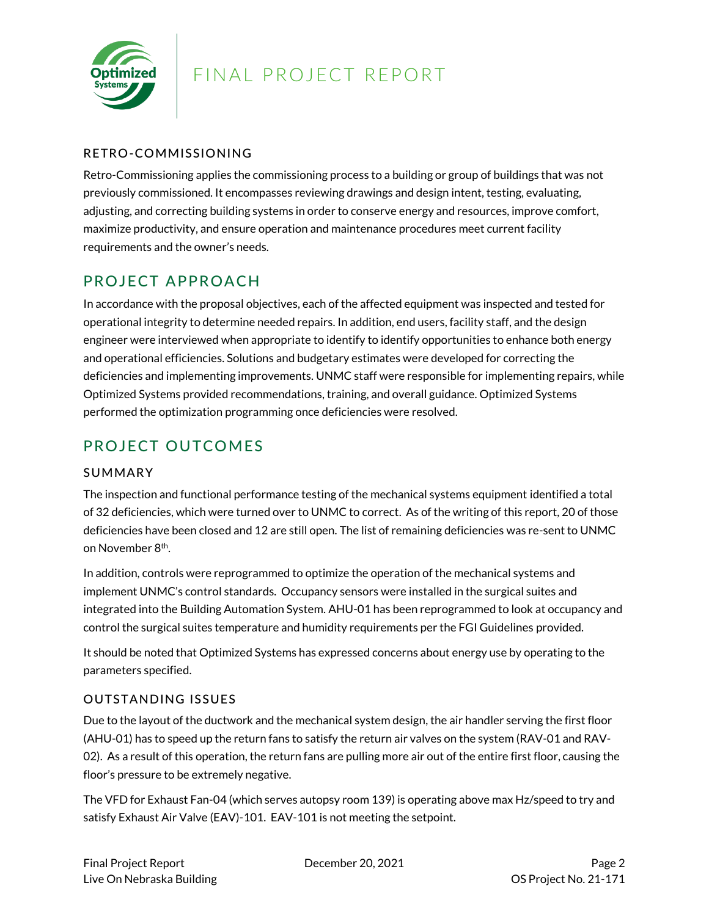

#### RETRO-COMMISSIONING

Retro-Commissioning applies the commissioning process to a building or group of buildings that was not previously commissioned. It encompasses reviewing drawings and design intent, testing, evaluating, adjusting, and correcting building systems in order to conserve energy and resources, improve comfort, maximize productivity, and ensure operation and maintenance procedures meet current facility requirements and the owner's needs.

#### <span id="page-3-0"></span>PROJECT APPROACH

In accordance with the proposal objectives, each of the affected equipment was inspected and tested for operational integrity to determine needed repairs. In addition, end users, facility staff, and the design engineer were interviewed when appropriate to identify to identify opportunities to enhance both energy and operational efficiencies. Solutions and budgetary estimates were developed for correcting the deficiencies and implementing improvements. UNMC staff were responsible for implementing repairs, while Optimized Systems provided recommendations, training, and overall guidance. Optimized Systems performed the optimization programming once deficiencies were resolved.

#### <span id="page-3-1"></span>PROJECT OUTCOMES

#### <span id="page-3-2"></span>SUMMARY

The inspection and functional performance testing of the mechanical systems equipment identified a total of 32 deficiencies, which were turned over to UNMC to correct. As of the writing of this report, 20 of those deficiencies have been closed and 12 are still open. The list of remaining deficiencies was re-sent to UNMC on November 8<sup>th</sup>.

In addition, controls were reprogrammed to optimize the operation of the mechanical systems and implement UNMC's control standards. Occupancy sensors were installed in the surgical suites and integrated into the Building Automation System. AHU-01 has been reprogrammed to look at occupancy and control the surgical suites temperature and humidity requirements per the FGI Guidelines provided.

It should be noted that Optimized Systems has expressed concerns about energy use by operating to the parameters specified.

#### <span id="page-3-3"></span>OUTSTANDING ISSUES

Due to the layout of the ductwork and the mechanical system design, the air handler serving the first floor (AHU-01) has to speed up the return fans to satisfy the return air valves on the system (RAV-01 and RAV-02). As a result of this operation, the return fans are pulling more air out of the entire first floor, causing the floor's pressure to be extremely negative.

The VFD for Exhaust Fan-04 (which serves autopsy room 139) is operating above max Hz/speed to try and satisfy Exhaust Air Valve (EAV)-101. EAV-101 is not meeting the setpoint.